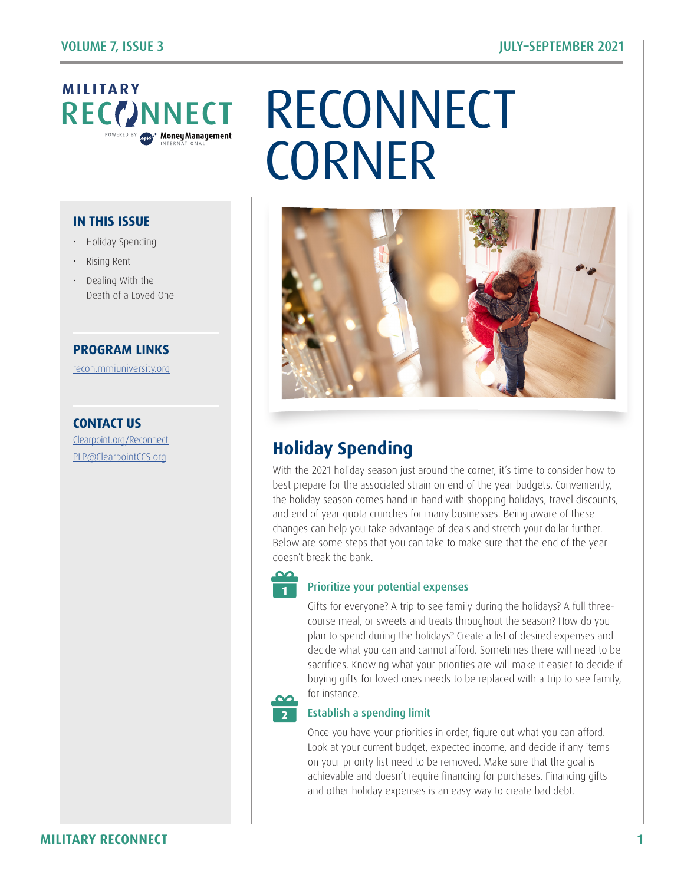

#### **IN THIS ISSUE**

- Holiday Spending
- Rising Rent
- Dealing With the Death of a Loved One

#### **PROGRAM LINKS**

[recon.mmiuniversity.org](https://recon.mmiuniversity.org/login/index.php)

**CONTACT US** C[learpoint.org/Reconnect](http://www.clearpoint.org/reconnect) PL[P@ClearpointCCS.org](mailto:plp%40clearpointccs.org?subject=)

# RECONNECT RECONNECT **CORNER**



# **Holiday Spending**

With the 2021 holiday season just around the corner, it's time to consider how to best prepare for the associated strain on end of the year budgets. Conveniently, the holiday season comes hand in hand with shopping holidays, travel discounts, and end of year quota crunches for many businesses. Being aware of these changes can help you take advantage of deals and stretch your dollar further. Below are some steps that you can take to make sure that the end of the year doesn't break the bank.



#### Prioritize your potential expenses

Gifts for everyone? A trip to see family during the holidays? A full threecourse meal, or sweets and treats throughout the season? How do you plan to spend during the holidays? Create a list of desired expenses and decide what you can and cannot afford. Sometimes there will need to be sacrifices. Knowing what your priorities are will make it easier to decide if buying gifts for loved ones needs to be replaced with a trip to see family, for instance.

# **2**

#### Establish a spending limit

Once you have your priorities in order, figure out what you can afford. Look at your current budget, expected income, and decide if any items on your priority list need to be removed. Make sure that the goal is achievable and doesn't require financing for purchases. Financing gifts and other holiday expenses is an easy way to create bad debt.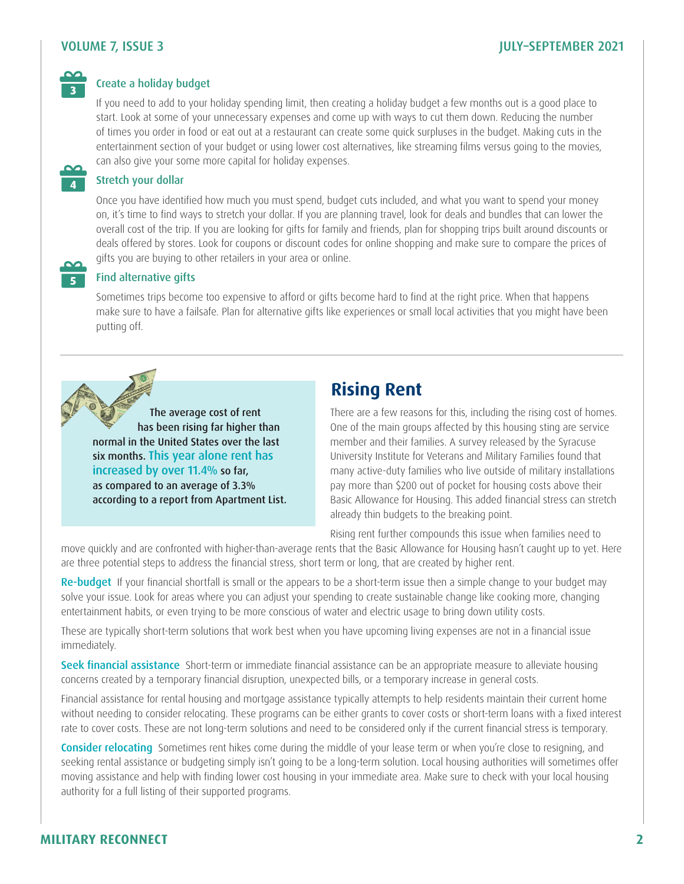#### VOLUME 7, ISSUE 3 JULY–SEPTEMBER 2021



**4**

**5**

#### Create a holiday budget

If you need to add to your holiday spending limit, then creating a holiday budget a few months out is a good place to start. Look at some of your unnecessary expenses and come up with ways to cut them down. Reducing the number of times you order in food or eat out at a restaurant can create some quick surpluses in the budget. Making cuts in the entertainment section of your budget or using lower cost alternatives, like streaming films versus going to the movies, can also give your some more capital for holiday expenses.

#### Stretch your dollar

Once you have identified how much you must spend, budget cuts included, and what you want to spend your money on, it's time to find ways to stretch your dollar. If you are planning travel, look for deals and bundles that can lower the overall cost of the trip. If you are looking for gifts for family and friends, plan for shopping trips built around discounts or deals offered by stores. Look for coupons or discount codes for online shopping and make sure to compare the prices of gifts you are buying to other retailers in your area or online.

#### Find alternative gifts

Sometimes trips become too expensive to afford or gifts become hard to find at the right price. When that happens make sure to have a failsafe. Plan for alternative gifts like experiences or small local activities that you might have been putting off.



increased by over 11.4% so far, as compared to an average of 3.3% according to a report from Apartment List.

# **Rising Rent**

There are a few reasons for this, including the rising cost of homes. One of the main groups affected by this housing sting are service member and their families. A survey released by the Syracuse University Institute for Veterans and Military Families found that many active-duty families who live outside of military installations pay more than \$200 out of pocket for housing costs above their Basic Allowance for Housing. This added financial stress can stretch already thin budgets to the breaking point.

Rising rent further compounds this issue when families need to

move quickly and are confronted with higher-than-average rents that the Basic Allowance for Housing hasn't caught up to yet. Here are three potential steps to address the financial stress, short term or long, that are created by higher rent.

Re-budget If your financial shortfall is small or the appears to be a short-term issue then a simple change to your budget may solve your issue. Look for areas where you can adjust your spending to create sustainable change like cooking more, changing entertainment habits, or even trying to be more conscious of water and electric usage to bring down utility costs.

These are typically short-term solutions that work best when you have upcoming living expenses are not in a financial issue immediately.

Seek financial assistance Short-term or immediate financial assistance can be an appropriate measure to alleviate housing concerns created by a temporary financial disruption, unexpected bills, or a temporary increase in general costs.

Financial assistance for rental housing and mortgage assistance typically attempts to help residents maintain their current home without needing to consider relocating. These programs can be either grants to cover costs or short-term loans with a fixed interest rate to cover costs. These are not long-term solutions and need to be considered only if the current financial stress is temporary.

Consider relocating Sometimes rent hikes come during the middle of your lease term or when you're close to resigning, and seeking rental assistance or budgeting simply isn't going to be a long-term solution. Local housing authorities will sometimes offer moving assistance and help with finding lower cost housing in your immediate area. Make sure to check with your local housing authority for a full listing of their supported programs.